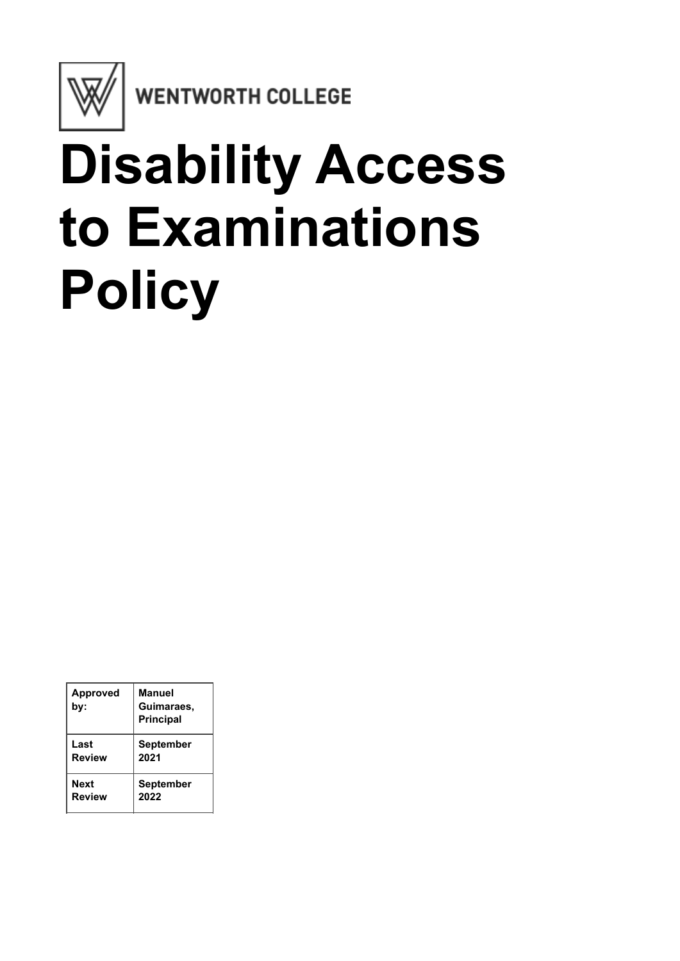

**WENTWORTH COLLEGE** 

## **Disability Access to Examinations Policy**

| <b>Approved</b><br>by: | Manuel<br>Guimaraes,<br><b>Principal</b> |
|------------------------|------------------------------------------|
| Last                   | <b>September</b>                         |
| <b>Review</b>          | 2021                                     |
| Next                   | <b>September</b>                         |
| <b>Review</b>          | 2022                                     |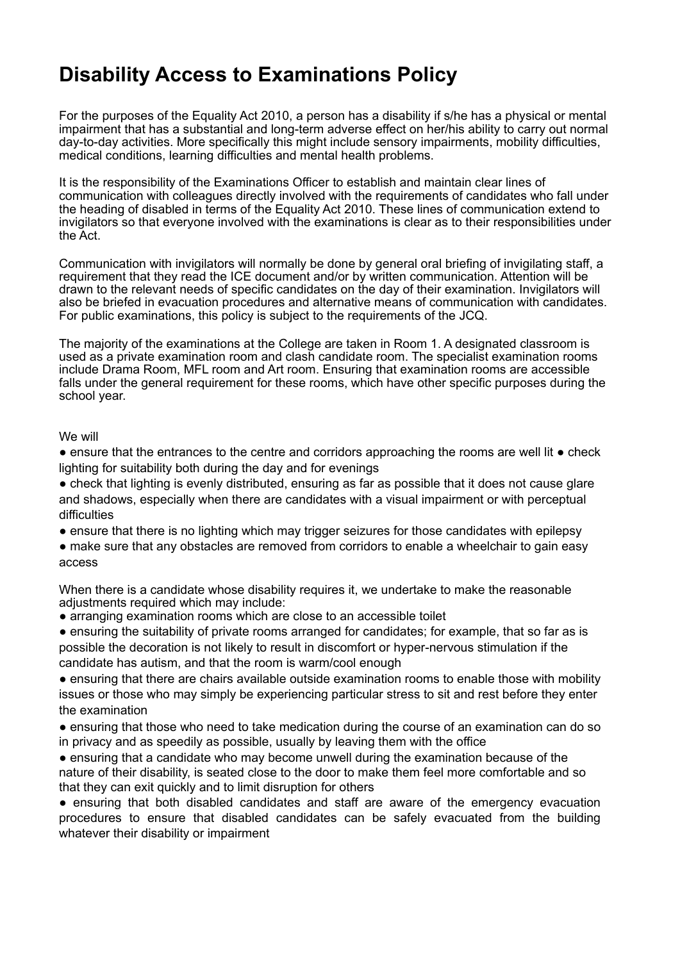## **Disability Access to Examinations Policy**

For the purposes of the Equality Act 2010, a person has a disability if s/he has a physical or mental impairment that has a substantial and long-term adverse effect on her/his ability to carry out normal day-to-day activities. More specifically this might include sensory impairments, mobility difficulties, medical conditions, learning difficulties and mental health problems.

It is the responsibility of the Examinations Officer to establish and maintain clear lines of communication with colleagues directly involved with the requirements of candidates who fall under the heading of disabled in terms of the Equality Act 2010. These lines of communication extend to invigilators so that everyone involved with the examinations is clear as to their responsibilities under the Act.

Communication with invigilators will normally be done by general oral briefing of invigilating staff, a requirement that they read the ICE document and/or by written communication. Attention will be drawn to the relevant needs of specific candidates on the day of their examination. Invigilators will also be briefed in evacuation procedures and alternative means of communication with candidates. For public examinations, this policy is subject to the requirements of the JCQ.

The majority of the examinations at the College are taken in Room 1. A designated classroom is used as a private examination room and clash candidate room. The specialist examination rooms include Drama Room, MFL room and Art room. Ensuring that examination rooms are accessible falls under the general requirement for these rooms, which have other specific purposes during the school year.

We will

• ensure that the entrances to the centre and corridors approaching the rooms are well lit • check lighting for suitability both during the day and for evenings

• check that lighting is evenly distributed, ensuring as far as possible that it does not cause glare and shadows, especially when there are candidates with a visual impairment or with perceptual difficulties

• ensure that there is no lighting which may trigger seizures for those candidates with epilepsy

• make sure that any obstacles are removed from corridors to enable a wheelchair to gain easy access

When there is a candidate whose disability requires it, we undertake to make the reasonable adjustments required which may include:

• arranging examination rooms which are close to an accessible toilet

● ensuring the suitability of private rooms arranged for candidates; for example, that so far as is possible the decoration is not likely to result in discomfort or hyper-nervous stimulation if the candidate has autism, and that the room is warm/cool enough

• ensuring that there are chairs available outside examination rooms to enable those with mobility issues or those who may simply be experiencing particular stress to sit and rest before they enter the examination

• ensuring that those who need to take medication during the course of an examination can do so in privacy and as speedily as possible, usually by leaving them with the office

• ensuring that a candidate who may become unwell during the examination because of the nature of their disability, is seated close to the door to make them feel more comfortable and so that they can exit quickly and to limit disruption for others

● ensuring that both disabled candidates and staff are aware of the emergency evacuation procedures to ensure that disabled candidates can be safely evacuated from the building whatever their disability or impairment